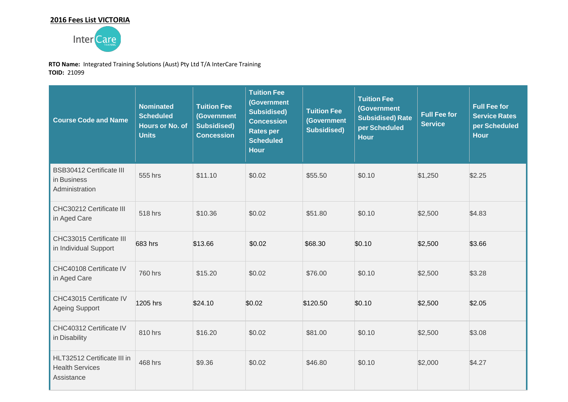# **2016 Fees List VICTORIA**



**RTO Name:** Integrated Training Solutions (Aust) Pty Ltd T/A InterCare Training **TOID:** 21099

| <b>Course Code and Name</b>                                         | <b>Nominated</b><br><b>Scheduled</b><br><b>Hours or No. of</b><br><b>Units</b> | <b>Tuition Fee</b><br>(Government<br><b>Subsidised)</b><br><b>Concession</b> | <b>Tuition Fee</b><br>(Government<br><b>Subsidised)</b><br><b>Concession</b><br><b>Rates per</b><br><b>Scheduled</b><br><b>Hour</b> | <b>Tuition Fee</b><br>(Government<br><b>Subsidised)</b> | <b>Tuition Fee</b><br>(Government<br><b>Subsidised) Rate</b><br>per Scheduled<br><b>Hour</b> | <b>Full Fee for</b><br><b>Service</b> | <b>Full Fee for</b><br><b>Service Rates</b><br>per Scheduled<br><b>Hour</b> |
|---------------------------------------------------------------------|--------------------------------------------------------------------------------|------------------------------------------------------------------------------|-------------------------------------------------------------------------------------------------------------------------------------|---------------------------------------------------------|----------------------------------------------------------------------------------------------|---------------------------------------|-----------------------------------------------------------------------------|
| <b>BSB30412 Certificate III</b><br>in Business<br>Administration    | 555 hrs                                                                        | \$11.10                                                                      | \$0.02                                                                                                                              | \$55.50                                                 | \$0.10                                                                                       | \$1,250                               | \$2.25                                                                      |
| CHC30212 Certificate III<br>in Aged Care                            | 518 hrs                                                                        | \$10.36                                                                      | \$0.02                                                                                                                              | \$51.80                                                 | \$0.10                                                                                       | \$2,500                               | \$4.83                                                                      |
| CHC33015 Certificate III<br>in Individual Support                   | 683 hrs                                                                        | \$13.66                                                                      | \$0.02                                                                                                                              | \$68.30                                                 | \$0.10                                                                                       | \$2,500                               | \$3.66                                                                      |
| CHC40108 Certificate IV<br>in Aged Care                             | 760 hrs                                                                        | \$15.20                                                                      | \$0.02                                                                                                                              | \$76.00                                                 | \$0.10                                                                                       | \$2,500                               | \$3.28                                                                      |
| CHC43015 Certificate IV<br><b>Ageing Support</b>                    | 1205 hrs                                                                       | \$24.10                                                                      | \$0.02                                                                                                                              | \$120.50                                                | \$0.10                                                                                       | \$2,500                               | \$2.05                                                                      |
| CHC40312 Certificate IV<br>in Disability                            | 810 hrs                                                                        | \$16.20                                                                      | \$0.02                                                                                                                              | \$81.00                                                 | \$0.10                                                                                       | \$2,500                               | \$3.08                                                                      |
| HLT32512 Certificate III in<br><b>Health Services</b><br>Assistance | 468 hrs                                                                        | \$9.36                                                                       | \$0.02                                                                                                                              | \$46.80                                                 | \$0.10                                                                                       | \$2,000                               | \$4.27                                                                      |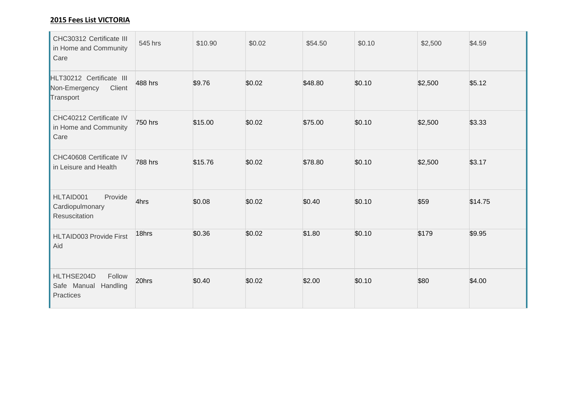### **2015 Fees List VICTORIA**

| CHC30312 Certificate III<br>in Home and Community<br>Care        | 545 hrs | \$10.90 | \$0.02 | \$54.50 | \$0.10 | \$2,500 | \$4.59  |
|------------------------------------------------------------------|---------|---------|--------|---------|--------|---------|---------|
| HLT30212 Certificate III<br>Non-Emergency<br>Client<br>Transport | 488 hrs | \$9.76  | \$0.02 | \$48.80 | \$0.10 | \$2,500 | \$5.12  |
| CHC40212 Certificate IV<br>in Home and Community<br>Care         | 750 hrs | \$15.00 | \$0.02 | \$75.00 | \$0.10 | \$2,500 | \$3.33  |
| CHC40608 Certificate IV<br>in Leisure and Health                 | 788 hrs | \$15.76 | \$0.02 | \$78.80 | \$0.10 | \$2,500 | \$3.17  |
| HLTAID001<br>Provide<br>Cardiopulmonary<br>Resuscitation         | 4hrs    | \$0.08  | \$0.02 | \$0.40  | \$0.10 | \$59    | \$14.75 |
| HLTAID003 Provide First<br>Aid                                   | 18hrs   | \$0.36  | \$0.02 | \$1.80  | \$0.10 | \$179   | \$9.95  |
| HLTHSE204D<br>Follow<br>Safe Manual Handling<br>Practices        | 20hrs   | \$0.40  | \$0.02 | \$2.00  | \$0.10 | \$80    | \$4.00  |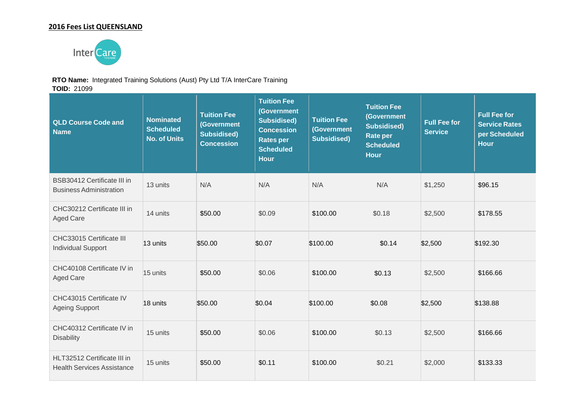### **2016 Fees List QUEENSLAND**



#### **RTO Name:** Integrated Training Solutions (Aust) Pty Ltd T/A InterCare Training

**TOID:** 21099

| <b>QLD Course Code and</b><br><b>Name</b>                            | <b>Nominated</b><br><b>Scheduled</b><br><b>No. of Units</b> | <b>Tuition Fee</b><br>(Government<br><b>Subsidised)</b><br><b>Concession</b> | <b>Tuition Fee</b><br>(Government<br><b>Subsidised)</b><br><b>Concession</b><br><b>Rates per</b><br><b>Scheduled</b><br><b>Hour</b> | <b>Tuition Fee</b><br>(Government<br><b>Subsidised)</b> | <b>Tuition Fee</b><br>(Government<br><b>Subsidised)</b><br><b>Rate per</b><br><b>Scheduled</b><br><b>Hour</b> | <b>Full Fee for</b><br><b>Service</b> | <b>Full Fee for</b><br><b>Service Rates</b><br>per Scheduled<br><b>Hour</b> |
|----------------------------------------------------------------------|-------------------------------------------------------------|------------------------------------------------------------------------------|-------------------------------------------------------------------------------------------------------------------------------------|---------------------------------------------------------|---------------------------------------------------------------------------------------------------------------|---------------------------------------|-----------------------------------------------------------------------------|
| <b>BSB30412 Certificate III in</b><br><b>Business Administration</b> | 13 units                                                    | N/A                                                                          | N/A                                                                                                                                 | N/A                                                     | N/A                                                                                                           | \$1,250                               | \$96.15                                                                     |
| CHC30212 Certificate III in<br><b>Aged Care</b>                      | 14 units                                                    | \$50.00                                                                      | \$0.09                                                                                                                              | \$100.00                                                | \$0.18                                                                                                        | \$2,500                               | \$178.55                                                                    |
| CHC33015 Certificate III<br><b>Individual Support</b>                | 13 units                                                    | \$50.00                                                                      | \$0.07                                                                                                                              | \$100.00                                                | \$0.14                                                                                                        | \$2,500                               | \$192.30                                                                    |
| CHC40108 Certificate IV in<br><b>Aged Care</b>                       | 15 units                                                    | \$50.00                                                                      | \$0.06                                                                                                                              | \$100.00                                                | \$0.13                                                                                                        | \$2,500                               | \$166.66                                                                    |
| CHC43015 Certificate IV<br><b>Ageing Support</b>                     | 18 units                                                    | \$50.00                                                                      | \$0.04                                                                                                                              | \$100.00                                                | \$0.08                                                                                                        | \$2,500                               | \$138.88                                                                    |
| CHC40312 Certificate IV in<br><b>Disability</b>                      | 15 units                                                    | \$50.00                                                                      | \$0.06                                                                                                                              | \$100.00                                                | \$0.13                                                                                                        | \$2,500                               | \$166.66                                                                    |
| HLT32512 Certificate III in<br><b>Health Services Assistance</b>     | 15 units                                                    | \$50.00                                                                      | \$0.11                                                                                                                              | \$100.00                                                | \$0.21                                                                                                        | \$2,000                               | \$133.33                                                                    |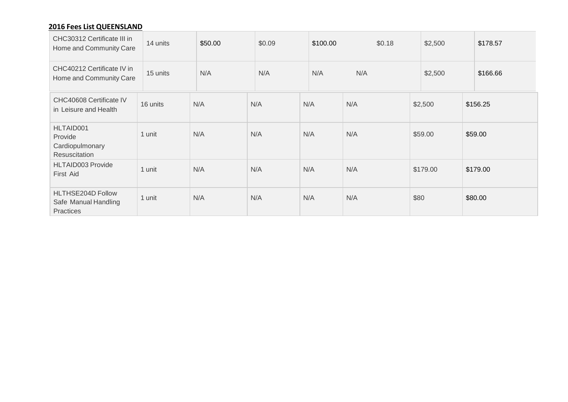## **2016 Fees List QUEENSLAND**

| CHC30312 Certificate III in<br>Home and Community Care   | 14 units | \$50.00 | \$0.09 | \$100.00 | \$0.18 | \$2,500  | \$178.57 |
|----------------------------------------------------------|----------|---------|--------|----------|--------|----------|----------|
| CHC40212 Certificate IV in<br>Home and Community Care    | 15 units | N/A     | N/A    | N/A      | N/A    | \$2,500  | \$166.66 |
| CHC40608 Certificate IV<br>in Leisure and Health         | 16 units | N/A     | N/A    | N/A      | N/A    | \$2,500  | \$156.25 |
| HLTAID001<br>Provide<br>Cardiopulmonary<br>Resuscitation | 1 unit   | N/A     | N/A    | N/A      | N/A    | \$59.00  | \$59.00  |
| HLTAID003 Provide<br>First Aid                           | 1 unit   | N/A     | N/A    | N/A      | N/A    | \$179.00 | \$179.00 |
| HLTHSE204D Follow<br>Safe Manual Handling<br>Practices   | 1 unit   | N/A     | N/A    | N/A      | N/A    | \$80     | \$80.00  |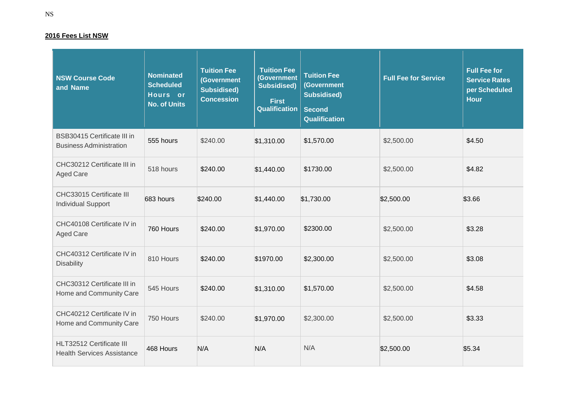#### **2016 Fees List NSW**

| <b>NSW Course Code</b><br>and Name                            | <b>Nominated</b><br><b>Scheduled</b><br>Hours or<br><b>No. of Units</b> | <b>Tuition Fee</b><br>(Government<br><b>Subsidised)</b><br><b>Concession</b> | <b>Tuition Fee</b><br>(Government<br><b>Subsidised)</b><br><b>First</b><br><b>Qualification</b> | <b>Tuition Fee</b><br>(Government<br><b>Subsidised)</b><br><b>Second</b><br><b>Qualification</b> | <b>Full Fee for Service</b> | <b>Full Fee for</b><br><b>Service Rates</b><br>per Scheduled<br><b>Hour</b> |
|---------------------------------------------------------------|-------------------------------------------------------------------------|------------------------------------------------------------------------------|-------------------------------------------------------------------------------------------------|--------------------------------------------------------------------------------------------------|-----------------------------|-----------------------------------------------------------------------------|
| BSB30415 Certificate III in<br><b>Business Administration</b> | 555 hours                                                               | \$240.00                                                                     | \$1,310.00                                                                                      | \$1,570.00                                                                                       | \$2,500.00                  | \$4.50                                                                      |
| CHC30212 Certificate III in<br><b>Aged Care</b>               | 518 hours                                                               | \$240.00                                                                     | \$1,440.00                                                                                      | \$1730.00                                                                                        | \$2,500.00                  | \$4.82                                                                      |
| CHC33015 Certificate III<br><b>Individual Support</b>         | 683 hours                                                               | \$240.00                                                                     | \$1,440.00                                                                                      | \$1,730.00                                                                                       | \$2,500.00                  | \$3.66                                                                      |
| CHC40108 Certificate IV in<br><b>Aged Care</b>                | 760 Hours                                                               | \$240.00                                                                     | \$1,970.00                                                                                      | \$2300.00                                                                                        | \$2,500.00                  | \$3.28                                                                      |
| CHC40312 Certificate IV in<br>Disability                      | 810 Hours                                                               | \$240.00                                                                     | \$1970.00                                                                                       | \$2,300.00                                                                                       | \$2,500.00                  | \$3.08                                                                      |
| CHC30312 Certificate III in<br>Home and Community Care        | 545 Hours                                                               | \$240.00                                                                     | \$1,310.00                                                                                      | \$1,570.00                                                                                       | \$2,500.00                  | \$4.58                                                                      |
| CHC40212 Certificate IV in<br>Home and Community Care         | 750 Hours                                                               | \$240.00                                                                     | \$1,970.00                                                                                      | \$2,300.00                                                                                       | \$2,500.00                  | \$3.33                                                                      |
| HLT32512 Certificate III<br><b>Health Services Assistance</b> | 468 Hours                                                               | N/A                                                                          | N/A                                                                                             | N/A                                                                                              | \$2,500.00                  | \$5.34                                                                      |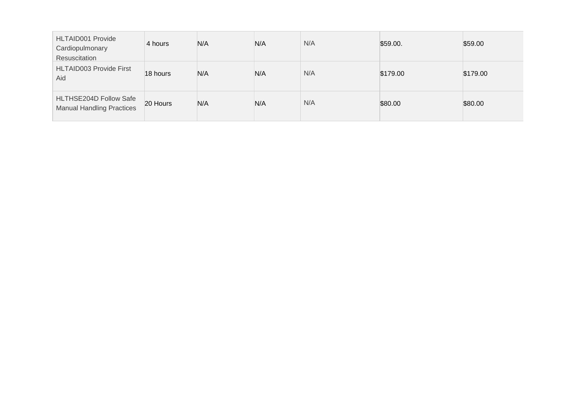| <b>HLTAID001 Provide</b><br>Cardiopulmonary<br>Resuscitation | 4 hours  | N/A | N/A | N/A | \$59.00. | \$59.00  |
|--------------------------------------------------------------|----------|-----|-----|-----|----------|----------|
| <b>HLTAID003 Provide First</b><br>Aid                        | 18 hours | N/A | N/A | N/A | \$179.00 | \$179.00 |
| HLTHSE204D Follow Safe<br><b>Manual Handling Practices</b>   | 20 Hours | N/A | N/A | N/A | \$80.00  | \$80.00  |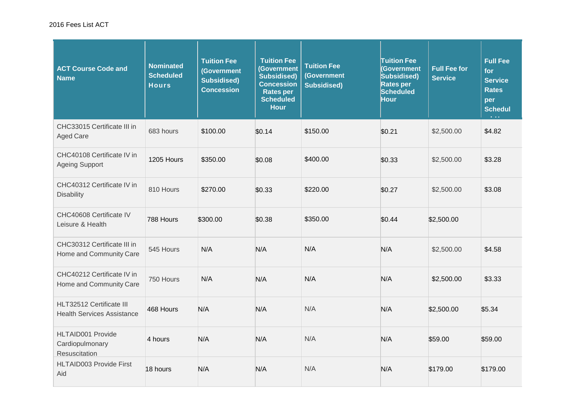#### 2016 Fees List ACT

| <b>ACT Course Code and</b><br><b>Name</b>                     | <b>Nominated</b><br><b>Scheduled</b><br><b>Hours</b> | <b>Tuition Fee</b><br>(Government<br><b>Subsidised)</b><br><b>Concession</b> | <b>Tuition Fee</b><br>(Government<br><b>Subsidised)</b><br><b>Concession</b><br><b>Rates per</b><br><b>Scheduled</b><br><b>Hour</b> | <b>Tuition Fee</b><br>(Government<br><b>Subsidised)</b> | <b>Tuition Fee</b><br>(Government<br>Subsidised)<br><b>Rates per</b><br><b>Scheduled</b><br>Hour | <b>Full Fee for</b><br><b>Service</b> | <b>Full Fee</b><br>for<br><b>Service</b><br><b>Rates</b><br>per<br><b>Schedul</b> |
|---------------------------------------------------------------|------------------------------------------------------|------------------------------------------------------------------------------|-------------------------------------------------------------------------------------------------------------------------------------|---------------------------------------------------------|--------------------------------------------------------------------------------------------------|---------------------------------------|-----------------------------------------------------------------------------------|
| CHC33015 Certificate III in<br><b>Aged Care</b>               | 683 hours                                            | \$100.00                                                                     | \$0.14                                                                                                                              | \$150.00                                                | \$0.21                                                                                           | \$2,500.00                            | \$4.82                                                                            |
| CHC40108 Certificate IV in<br><b>Ageing Support</b>           | 1205 Hours                                           | \$350.00                                                                     | \$0.08                                                                                                                              | \$400.00                                                | \$0.33                                                                                           | \$2,500.00                            | \$3.28                                                                            |
| CHC40312 Certificate IV in<br><b>Disability</b>               | 810 Hours                                            | \$270.00                                                                     | \$0.33                                                                                                                              | \$220.00                                                | \$0.27                                                                                           | \$2,500.00                            | \$3.08                                                                            |
| CHC40608 Certificate IV<br>Leisure & Health                   | 788 Hours                                            | \$300.00                                                                     | \$0.38                                                                                                                              | \$350.00                                                | \$0.44                                                                                           | \$2,500.00                            |                                                                                   |
| CHC30312 Certificate III in<br>Home and Community Care        | 545 Hours                                            | N/A                                                                          | N/A                                                                                                                                 | N/A                                                     | N/A                                                                                              | \$2,500.00                            | \$4.58                                                                            |
| CHC40212 Certificate IV in<br>Home and Community Care         | 750 Hours                                            | N/A                                                                          | N/A                                                                                                                                 | N/A                                                     | N/A                                                                                              | \$2,500.00                            | \$3.33                                                                            |
| HLT32512 Certificate III<br><b>Health Services Assistance</b> | 468 Hours                                            | N/A                                                                          | N/A                                                                                                                                 | N/A                                                     | N/A                                                                                              | \$2,500.00                            | \$5.34                                                                            |
| HLTAID001 Provide<br>Cardiopulmonary<br>Resuscitation         | 4 hours                                              | N/A                                                                          | N/A                                                                                                                                 | N/A                                                     | N/A                                                                                              | \$59.00                               | \$59.00                                                                           |
| <b>HLTAID003 Provide First</b><br>Aid                         | 18 hours                                             | N/A                                                                          | N/A                                                                                                                                 | N/A                                                     | N/A                                                                                              | \$179.00                              | \$179.00                                                                          |